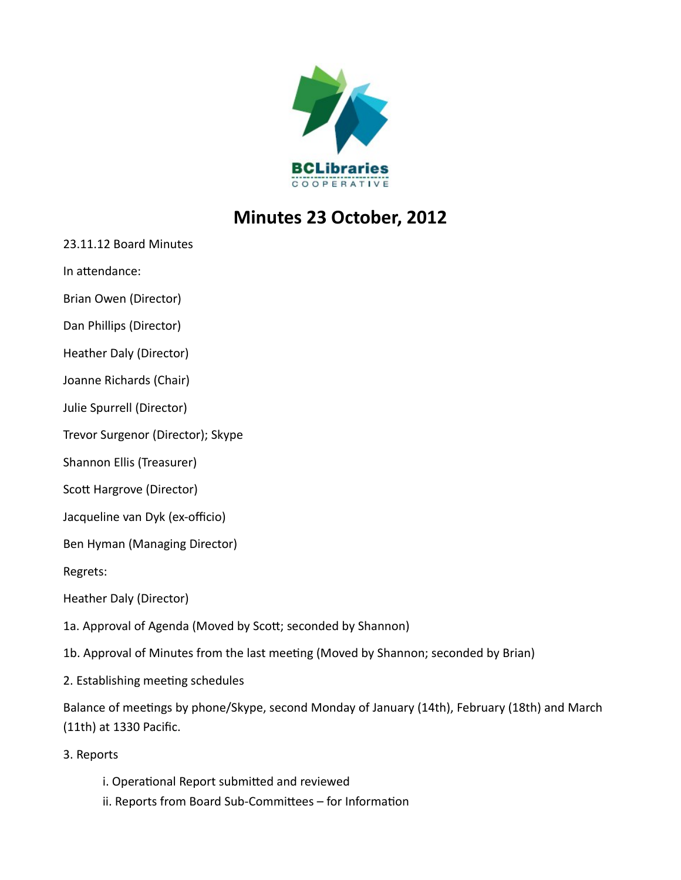

## **Minutes 23 October, 2012**

23.11.12 Board Minutes

In attendance:

Brian Owen (Director)

Dan Phillips (Director)

Heather Daly (Director)

Joanne Richards (Chair)

Julie Spurrell (Director)

Trevor Surgenor (Director); Skype

Shannon Ellis (Treasurer)

Scott Hargrove (Director)

Jacqueline van Dyk (ex-officio)

Ben Hyman (Managing Director)

Regrets:

Heather Daly (Director)

1a. Approval of Agenda (Moved by Scott; seconded by Shannon)

1b. Approval of Minutes from the last meeting (Moved by Shannon; seconded by Brian)

2. Establishing meeting schedules

Balance of meetings by phone/Skype, second Monday of January (14th), February (18th) and March (11th) at 1330 Pacific.

3. Reports

i. Operational Report submitted and reviewed

ii. Reports from Board Sub-Committees – for Information